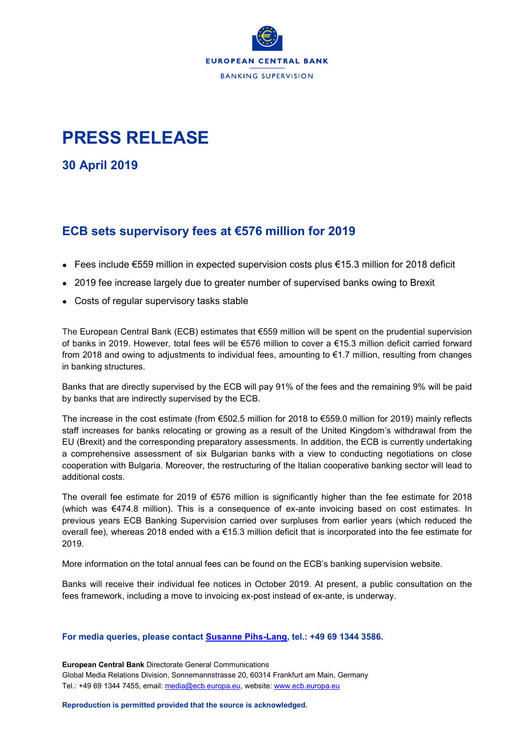

## **PRESS RELEASE**

**30 April 2019**

## **ECB sets supervisory fees at €576 million for 2019**

- Fees include  $\epsilon$ 559 million in expected supervision costs plus  $\epsilon$ 15.3 million for 2018 deficit
- 2019 fee increase largely due to greater number of supervised banks owing to Brexit
- Costs of regular supervisory tasks stable

The European Central Bank (ECB) estimates that €559 million will be spent on the prudential supervision of banks in 2019. However, total fees will be €576 million to cover a €15.3 million deficit carried forward from 2018 and owing to adjustments to individual fees, amounting to €1.7 million, resulting from changes in banking structures.

Banks that are directly supervised by the ECB will pay 91% of the fees and the remaining 9% will be paid by banks that are indirectly supervised by the ECB.

The increase in the cost estimate (from €502.5 million for 2018 to €559.0 million for 2019) mainly reflects staff increases for banks relocating or growing as a result of the United Kingdom's withdrawal from the EU (Brexit) and the corresponding preparatory assessments. In addition, the ECB is currently undertaking a comprehensive assessment of six Bulgarian banks with a view to conducting negotiations on close cooperation with Bulgaria. Moreover, the restructuring of the Italian cooperative banking sector will lead to additional costs.

The overall fee estimate for 2019 of €576 million is significantly higher than the fee estimate for 2018 (which was €474.8 million). This is a consequence of ex-ante invoicing based on cost estimates. In previous years ECB Banking Supervision carried over surpluses from earlier years (which reduced the overall fee), whereas 2018 ended with a €15.3 million deficit that is incorporated into the fee estimate for 2019.

More information on the total annual fees can be found on the ECB's banking supervision website.

Banks will receive their individual fee notices in October 2019. At present, a public consultation on the fees framework, including a move to invoicing ex-post instead of ex-ante, is underway.

## **For media queries, please contact [Susanne Pihs-Lang,](mailto:susanne.pihslang@ecb.europa.eu) tel.: +49 69 1344 3586.**

**European Central Bank** Directorate General Communications Global Media Relations Division, Sonnemannstrasse 20, 60314 Frankfurt am Main, Germany Tel.: +49 69 1344 7455, email: [media@ecb.europa.eu,](mailto:media@ecb.europa.eu) website[: www.ecb.europa.eu](http://www.ecb.europa.eu/)

**Reproduction is permitted provided that the source is acknowledged.**